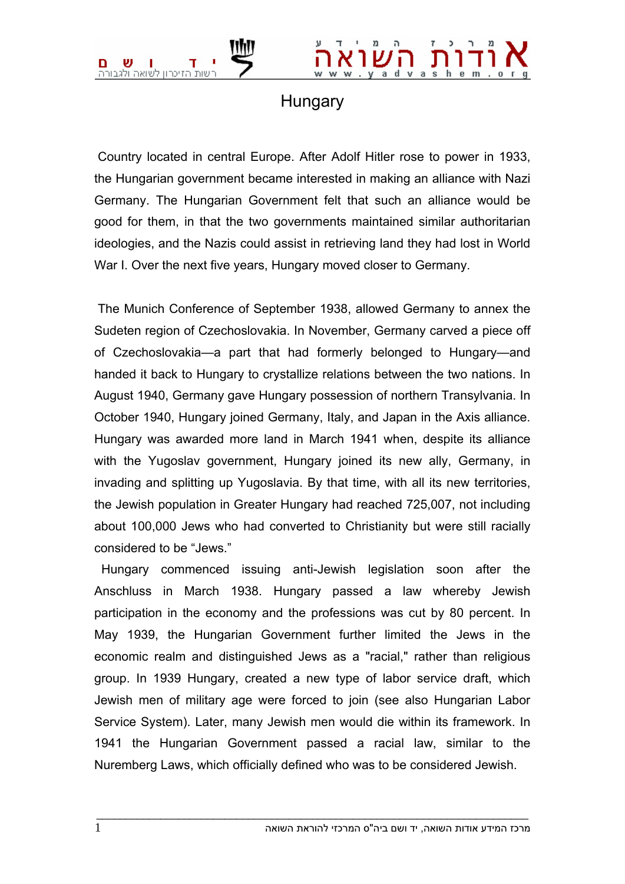

## **Hungary**

 Country located in central Europe. After Adolf Hitler rose to power in 1933, the Hungarian government became interested in making an alliance with Nazi Germany. The Hungarian Government felt that such an alliance would be good for them, in that the two governments maintained similar authoritarian ideologies, and the Nazis could assist in retrieving land they had lost in World War I. Over the next five years, Hungary moved closer to Germany.

 The Munich Conference of September 1938, allowed Germany to annex the Sudeten region of Czechoslovakia. In November, Germany carved a piece off of Czechoslovakia—a part that had formerly belonged to Hungary—and handed it back to Hungary to crystallize relations between the two nations. In August 1940, Germany gave Hungary possession of northern Transylvania. In October 1940, Hungary joined Germany, Italy, and Japan in the Axis alliance. Hungary was awarded more land in March 1941 when, despite its alliance with the Yugoslav government, Hungary joined its new ally, Germany, in invading and splitting up Yugoslavia. By that time, with all its new territories, the Jewish population in Greater Hungary had reached 725,007, not including about 100,000 Jews who had converted to Christianity but were still racially considered to be "Jews."

 Hungary commenced issuing anti-Jewish legislation soon after the Anschluss in March 1938. Hungary passed a law whereby Jewish participation in the economy and the professions was cut by 80 percent. In May 1939, the Hungarian Government further limited the Jews in the economic realm and distinguished Jews as a "racial," rather than religious group. In 1939 Hungary, created a new type of labor service draft, which Jewish men of military age were forced to join (see also Hungarian Labor Service System). Later, many Jewish men would die within its framework. In 1941 the Hungarian Government passed a racial law, similar to the Nuremberg Laws, which officially defined who was to be considered Jewish.

 $\bot$  , and the set of the set of the set of the set of the set of the set of the set of the set of the set of the set of the set of the set of the set of the set of the set of the set of the set of the set of the set of t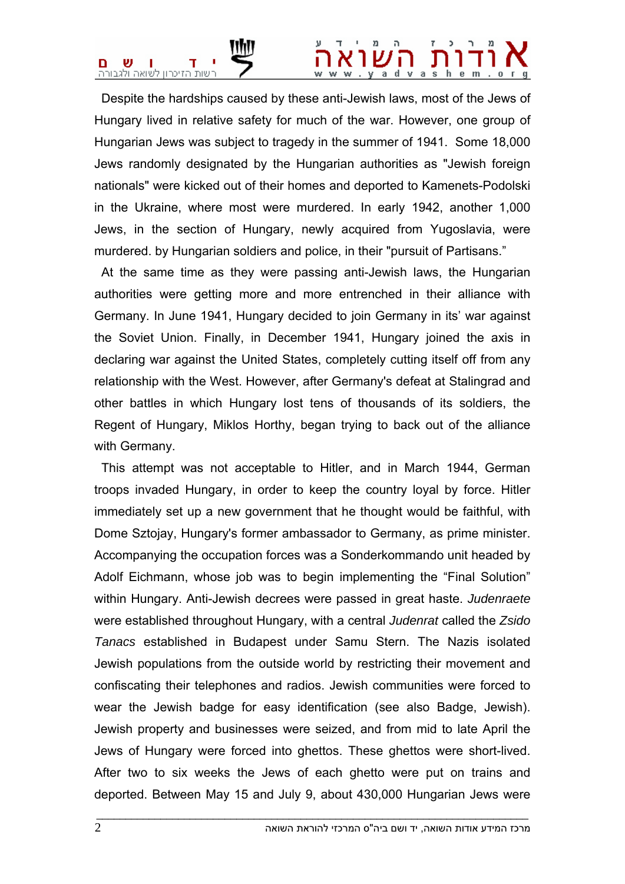## d v a s

 Despite the hardships caused by these anti-Jewish laws, most of the Jews of Hungary lived in relative safety for much of the war. However, one group of Hungarian Jews was subject to tragedy in the summer of 1941. Some 18,000 Jews randomly designated by the Hungarian authorities as "Jewish foreign nationals" were kicked out of their homes and deported to Kamenets-Podolski in the Ukraine, where most were murdered. In early 1942, another 1,000 Jews, in the section of Hungary, newly acquired from Yugoslavia, were murdered. by Hungarian soldiers and police, in their "pursuit of Partisans."

 At the same time as they were passing anti-Jewish laws, the Hungarian authorities were getting more and more entrenched in their alliance with Germany. In June 1941, Hungary decided to join Germany in its' war against the Soviet Union. Finally, in December 1941, Hungary joined the axis in declaring war against the United States, completely cutting itself off from any relationship with the West. However, after Germany's defeat at Stalingrad and other battles in which Hungary lost tens of thousands of its soldiers, the Regent of Hungary, Miklos Horthy, began trying to back out of the alliance with Germany.

 This attempt was not acceptable to Hitler, and in March 1944, German troops invaded Hungary, in order to keep the country loyal by force. Hitler immediately set up a new government that he thought would be faithful, with Dome Sztojay, Hungary's former ambassador to Germany, as prime minister. Accompanying the occupation forces was a Sonderkommando unit headed by Adolf Eichmann, whose job was to begin implementing the "Final Solution" within Hungary. Anti-Jewish decrees were passed in great haste. *Judenraete* were established throughout Hungary, with a central *Judenrat* called the *Zsido Tanacs* established in Budapest under Samu Stern. The Nazis isolated Jewish populations from the outside world by restricting their movement and confiscating their telephones and radios. Jewish communities were forced to wear the Jewish badge for easy identification (see also Badge, Jewish). Jewish property and businesses were seized, and from mid to late April the Jews of Hungary were forced into ghettos. These ghettos were short-lived. After two to six weeks the Jews of each ghetto were put on trains and deported. Between May 15 and July 9, about 430,000 Hungarian Jews were

 $\bot$  , and the set of the set of the set of the set of the set of the set of the set of the set of the set of the set of the set of the set of the set of the set of the set of the set of the set of the set of the set of t